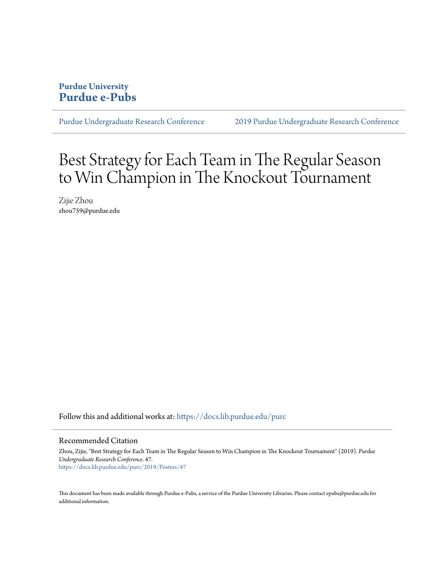#### **Purdue University [Purdue e-Pubs](https://docs.lib.purdue.edu?utm_source=docs.lib.purdue.edu%2Fpurc%2F2019%2FPosters%2F47&utm_medium=PDF&utm_campaign=PDFCoverPages)**

[Purdue Undergraduate Research Conference](https://docs.lib.purdue.edu/purc?utm_source=docs.lib.purdue.edu%2Fpurc%2F2019%2FPosters%2F47&utm_medium=PDF&utm_campaign=PDFCoverPages) [2019 Purdue Undergraduate Research Conference](https://docs.lib.purdue.edu/purc/2019?utm_source=docs.lib.purdue.edu%2Fpurc%2F2019%2FPosters%2F47&utm_medium=PDF&utm_campaign=PDFCoverPages)

#### Best Strategy for Each Team in The Regular Season to Win Champion in The Knockout Tournament

Zijie Zhou zhou759@purdue.edu

Follow this and additional works at: [https://docs.lib.purdue.edu/purc](https://docs.lib.purdue.edu/purc?utm_source=docs.lib.purdue.edu%2Fpurc%2F2019%2FPosters%2F47&utm_medium=PDF&utm_campaign=PDFCoverPages)

#### Recommended Citation

Zhou, Zijie, "Best Strategy for Each Team in The Regular Season to Win Champion in The Knockout Tournament" (2019). *Purdue Undergraduate Research Conference*. 47. [https://docs.lib.purdue.edu/purc/2019/Posters/47](https://docs.lib.purdue.edu/purc/2019/Posters/47?utm_source=docs.lib.purdue.edu%2Fpurc%2F2019%2FPosters%2F47&utm_medium=PDF&utm_campaign=PDFCoverPages)

This document has been made available through Purdue e-Pubs, a service of the Purdue University Libraries. Please contact epubs@purdue.edu for additional information.